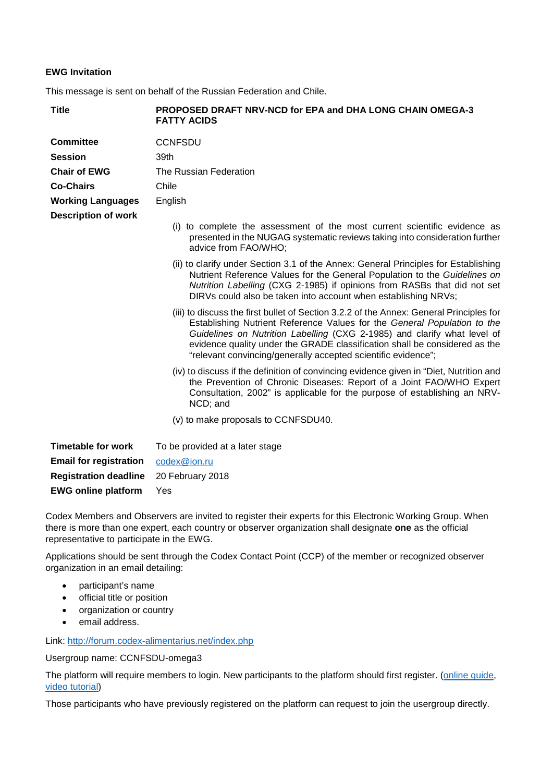## **EWG Invitation**

This message is sent on behalf of the Russian Federation and Chile.

| <b>Title</b>                  | <b>PROPOSED DRAFT NRV-NCD for EPA and DHA LONG CHAIN OMEGA-3</b><br><b>FATTY ACIDS</b>                                                                                                                                                                                                                                                                                                         |
|-------------------------------|------------------------------------------------------------------------------------------------------------------------------------------------------------------------------------------------------------------------------------------------------------------------------------------------------------------------------------------------------------------------------------------------|
| <b>Committee</b>              | <b>CCNFSDU</b>                                                                                                                                                                                                                                                                                                                                                                                 |
| <b>Session</b>                | 39th                                                                                                                                                                                                                                                                                                                                                                                           |
| <b>Chair of EWG</b>           | The Russian Federation                                                                                                                                                                                                                                                                                                                                                                         |
| <b>Co-Chairs</b>              | Chile                                                                                                                                                                                                                                                                                                                                                                                          |
| <b>Working Languages</b>      | English                                                                                                                                                                                                                                                                                                                                                                                        |
| <b>Description of work</b>    | (i) to complete the assessment of the most current scientific evidence as<br>presented in the NUGAG systematic reviews taking into consideration further<br>advice from FAO/WHO;                                                                                                                                                                                                               |
|                               | (ii) to clarify under Section 3.1 of the Annex: General Principles for Establishing<br>Nutrient Reference Values for the General Population to the Guidelines on<br>Nutrition Labelling (CXG 2-1985) if opinions from RASBs that did not set<br>DIRVs could also be taken into account when establishing NRVs;                                                                                 |
|                               | (iii) to discuss the first bullet of Section 3.2.2 of the Annex: General Principles for<br>Establishing Nutrient Reference Values for the General Population to the<br>Guidelines on Nutrition Labelling (CXG 2-1985) and clarify what level of<br>evidence quality under the GRADE classification shall be considered as the<br>"relevant convincing/generally accepted scientific evidence"; |
|                               | (iv) to discuss if the definition of convincing evidence given in "Diet, Nutrition and<br>the Prevention of Chronic Diseases: Report of a Joint FAO/WHO Expert<br>Consultation, 2002" is applicable for the purpose of establishing an NRV-<br>NCD; and                                                                                                                                        |
|                               | (v) to make proposals to CCNFSDU40.                                                                                                                                                                                                                                                                                                                                                            |
| <b>Timetable for work</b>     | To be provided at a later stage                                                                                                                                                                                                                                                                                                                                                                |
| <b>Email for registration</b> | codex@ion.ru                                                                                                                                                                                                                                                                                                                                                                                   |
| <b>Registration deadline</b>  | 20 February 2018                                                                                                                                                                                                                                                                                                                                                                               |

Codex Members and Observers are invited to register their experts for this Electronic Working Group. When there is more than one expert, each country or observer organization shall designate **one** as the official

representative to participate in the EWG.

Applications should be sent through the Codex Contact Point (CCP) of the member or recognized observer organization in an email detailing:

• participant's name

**EWG online platform** Yes

- official title or position
- organization or country
- email address.

Link:<http://forum.codex-alimentarius.net/index.php>

Usergroup name: CCNFSDU-omega3

The platform will require members to login. New participants to the platform should first register. [\(online guide,](http://forum.codex-alimentarius.net/viewtopic.php?f=13&t=11) video [tutorial\)](https://youtu.be/EJn9k7wNSwk)

Those participants who have previously registered on the platform can request to join the usergroup directly.